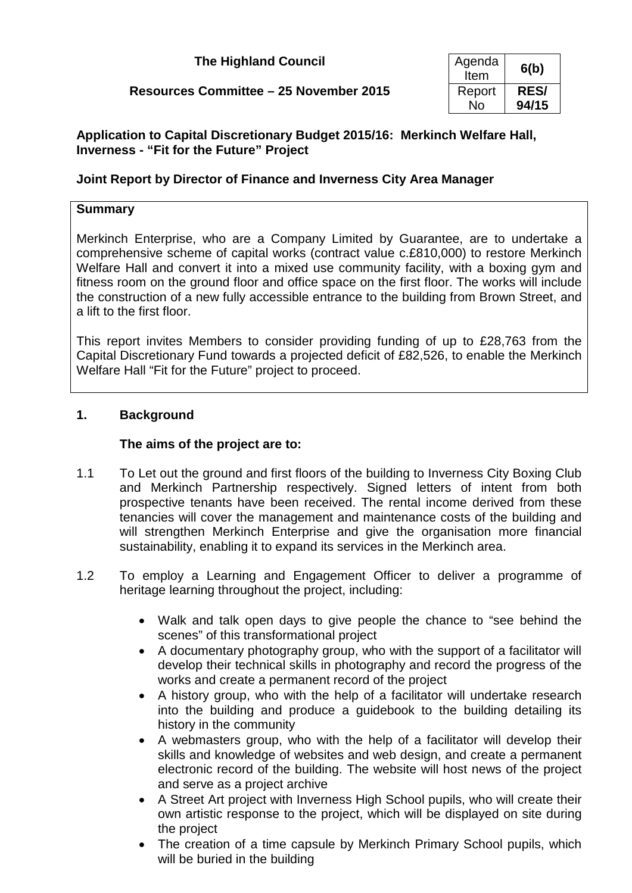| <b>The Highland Council</b> | Agenda |
|-----------------------------|--------|
|                             |        |

# **Resources Committee – 25 November 2015**

| Agenda<br>Item | 6(b)        |
|----------------|-------------|
| Report         | <b>RES/</b> |
| N٥             | 94/15       |

## **Application to Capital Discretionary Budget 2015/16: Merkinch Welfare Hall, Inverness - "Fit for the Future" Project**

## **Joint Report by Director of Finance and Inverness City Area Manager**

## **Summary**

Merkinch Enterprise, who are a Company Limited by Guarantee, are to undertake a comprehensive scheme of capital works (contract value c.£810,000) to restore Merkinch Welfare Hall and convert it into a mixed use community facility, with a boxing gym and fitness room on the ground floor and office space on the first floor. The works will include the construction of a new fully accessible entrance to the building from Brown Street, and a lift to the first floor.

This report invites Members to consider providing funding of up to £28,763 from the Capital Discretionary Fund towards a projected deficit of £82,526, to enable the Merkinch Welfare Hall "Fit for the Future" project to proceed.

## **1. Background**

## **The aims of the project are to:**

- 1.1 To Let out the ground and first floors of the building to Inverness City Boxing Club and Merkinch Partnership respectively. Signed letters of intent from both prospective tenants have been received. The rental income derived from these tenancies will cover the management and maintenance costs of the building and will strengthen Merkinch Enterprise and give the organisation more financial sustainability, enabling it to expand its services in the Merkinch area.
- 1.2 To employ a Learning and Engagement Officer to deliver a programme of heritage learning throughout the project, including:
	- Walk and talk open days to give people the chance to "see behind the scenes" of this transformational project
	- A documentary photography group, who with the support of a facilitator will develop their technical skills in photography and record the progress of the works and create a permanent record of the project
	- A history group, who with the help of a facilitator will undertake research into the building and produce a guidebook to the building detailing its history in the community
	- A webmasters group, who with the help of a facilitator will develop their skills and knowledge of websites and web design, and create a permanent electronic record of the building. The website will host news of the project and serve as a project archive
	- A Street Art project with Inverness High School pupils, who will create their own artistic response to the project, which will be displayed on site during the project
	- The creation of a time capsule by Merkinch Primary School pupils, which will be buried in the building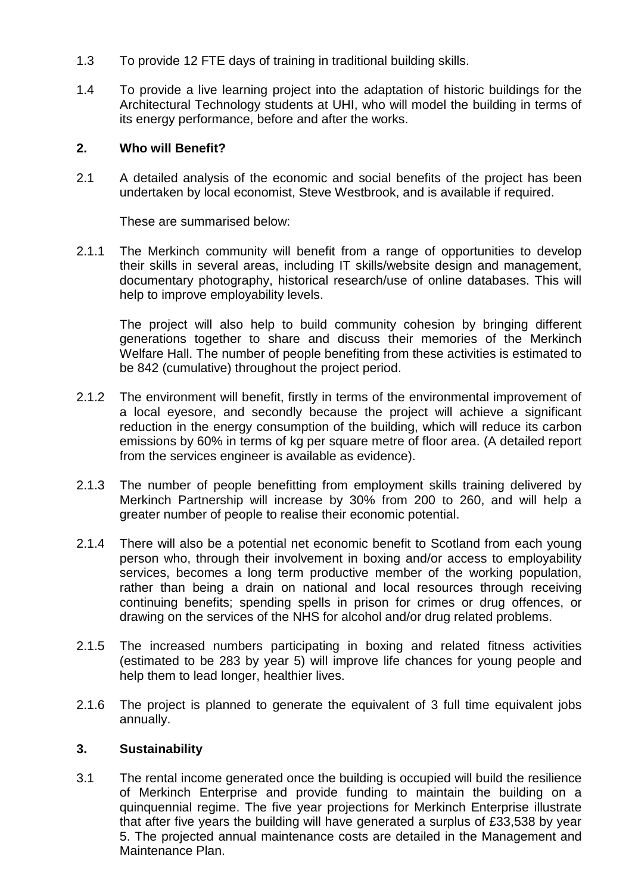- 1.3 To provide 12 FTE days of training in traditional building skills.
- 1.4 To provide a live learning project into the adaptation of historic buildings for the Architectural Technology students at UHI, who will model the building in terms of its energy performance, before and after the works.

## **2. Who will Benefit?**

2.1 A detailed analysis of the economic and social benefits of the project has been undertaken by local economist, Steve Westbrook, and is available if required.

These are summarised below:

2.1.1 The Merkinch community will benefit from a range of opportunities to develop their skills in several areas, including IT skills/website design and management, documentary photography, historical research/use of online databases. This will help to improve employability levels.

The project will also help to build community cohesion by bringing different generations together to share and discuss their memories of the Merkinch Welfare Hall. The number of people benefiting from these activities is estimated to be 842 (cumulative) throughout the project period.

- 2.1.2 The environment will benefit, firstly in terms of the environmental improvement of a local eyesore, and secondly because the project will achieve a significant reduction in the energy consumption of the building, which will reduce its carbon emissions by 60% in terms of kg per square metre of floor area. (A detailed report from the services engineer is available as evidence).
- 2.1.3 The number of people benefitting from employment skills training delivered by Merkinch Partnership will increase by 30% from 200 to 260, and will help a greater number of people to realise their economic potential.
- 2.1.4 There will also be a potential net economic benefit to Scotland from each young person who, through their involvement in boxing and/or access to employability services, becomes a long term productive member of the working population, rather than being a drain on national and local resources through receiving continuing benefits; spending spells in prison for crimes or drug offences, or drawing on the services of the NHS for alcohol and/or drug related problems.
- 2.1.5 The increased numbers participating in boxing and related fitness activities (estimated to be 283 by year 5) will improve life chances for young people and help them to lead longer, healthier lives.
- 2.1.6 The project is planned to generate the equivalent of 3 full time equivalent jobs annually.

### **3. Sustainability**

3.1 The rental income generated once the building is occupied will build the resilience of Merkinch Enterprise and provide funding to maintain the building on a quinquennial regime. The five year projections for Merkinch Enterprise illustrate that after five years the building will have generated a surplus of £33,538 by year 5. The projected annual maintenance costs are detailed in the Management and Maintenance Plan.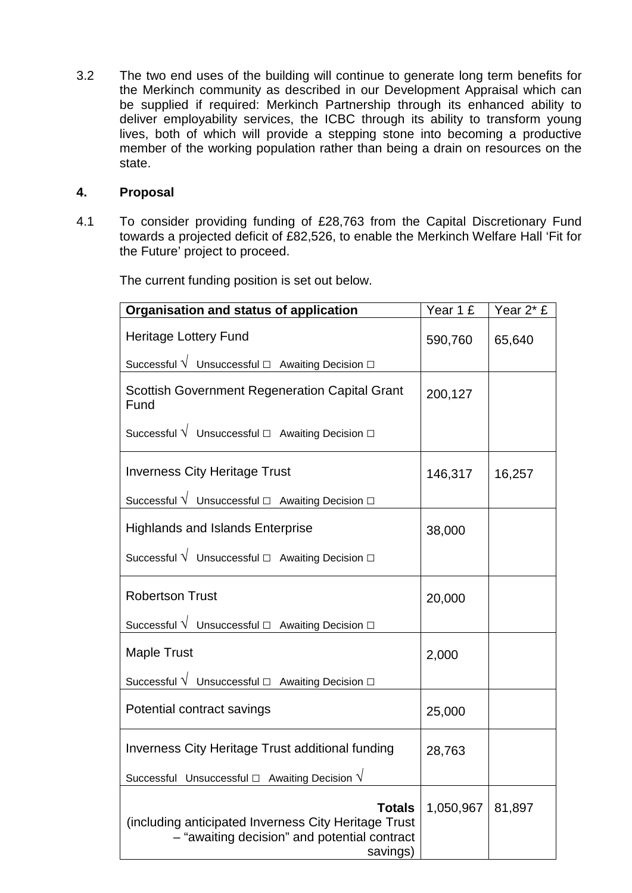3.2 The two end uses of the building will continue to generate long term benefits for the Merkinch community as described in our Development Appraisal which can be supplied if required: Merkinch Partnership through its enhanced ability to deliver employability services, the ICBC through its ability to transform young lives, both of which will provide a stepping stone into becoming a productive member of the working population rather than being a drain on resources on the state.

#### **4. Proposal**

4.1 To consider providing funding of £28,763 from the Capital Discretionary Fund towards a projected deficit of £82,526, to enable the Merkinch Welfare Hall 'Fit for the Future' project to proceed.

The current funding position is set out below.

| Organisation and status of application                                                                                            | Year 1 £  | Year 2* £ |
|-----------------------------------------------------------------------------------------------------------------------------------|-----------|-----------|
| Heritage Lottery Fund                                                                                                             | 590,760   | 65,640    |
| Successful V Unsuccessful $\Box$ Awaiting Decision $\Box$                                                                         |           |           |
| <b>Scottish Government Regeneration Capital Grant</b><br>Fund                                                                     | 200,127   |           |
| Successful $\sqrt{\phantom{a}}$ Unsuccessful $\Box$ Awaiting Decision $\Box$                                                      |           |           |
| <b>Inverness City Heritage Trust</b>                                                                                              | 146,317   | 16,257    |
| Successful $\sqrt{\phantom{a}}$ Unsuccessful $\Box$ Awaiting Decision $\Box$                                                      |           |           |
| <b>Highlands and Islands Enterprise</b>                                                                                           | 38,000    |           |
| Successful $\sqrt{\phantom{a} }$ Unsuccessful $\Box$ Awaiting Decision $\Box$                                                     |           |           |
| <b>Robertson Trust</b>                                                                                                            | 20,000    |           |
| Successful $\sqrt{\phantom{a}}$ Unsuccessful $\Box$ Awaiting Decision $\Box$                                                      |           |           |
| <b>Maple Trust</b>                                                                                                                | 2,000     |           |
| Successful $\sqrt{\phantom{a} }$ Unsuccessful $\Box$ Awaiting Decision $\Box$                                                     |           |           |
| Potential contract savings                                                                                                        | 25,000    |           |
| Inverness City Heritage Trust additional funding                                                                                  | 28,763    |           |
| Successful Unsuccessful $\Box$ Awaiting Decision $\sqrt{}$                                                                        |           |           |
| <b>Totals</b><br>(including anticipated Inverness City Heritage Trust<br>- "awaiting decision" and potential contract<br>savings) | 1,050,967 | 81,897    |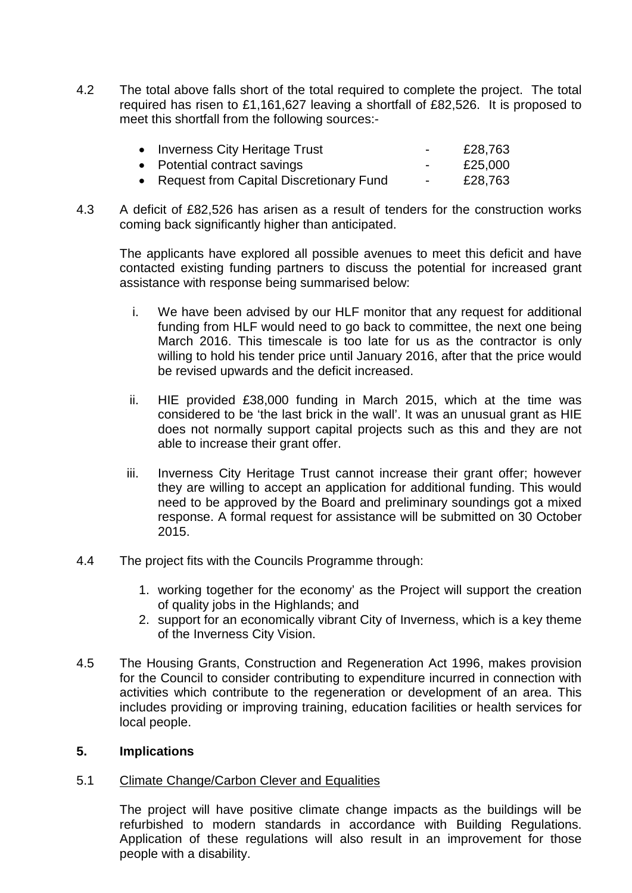4.2 The total above falls short of the total required to complete the project. The total required has risen to £1,161,627 leaving a shortfall of £82,526. It is proposed to meet this shortfall from the following sources:-

| • Inverness City Heritage Trust           | $\sim$ | £28,763 |
|-------------------------------------------|--------|---------|
| • Potential contract savings              | $\sim$ | £25,000 |
| • Request from Capital Discretionary Fund | $\sim$ | £28,763 |

4.3 A deficit of £82,526 has arisen as a result of tenders for the construction works coming back significantly higher than anticipated.

The applicants have explored all possible avenues to meet this deficit and have contacted existing funding partners to discuss the potential for increased grant assistance with response being summarised below:

- i. We have been advised by our HLF monitor that any request for additional funding from HLF would need to go back to committee, the next one being March 2016. This timescale is too late for us as the contractor is only willing to hold his tender price until January 2016, after that the price would be revised upwards and the deficit increased.
- ii. HIE provided £38,000 funding in March 2015, which at the time was considered to be 'the last brick in the wall'. It was an unusual grant as HIE does not normally support capital projects such as this and they are not able to increase their grant offer.
- iii. Inverness City Heritage Trust cannot increase their grant offer; however they are willing to accept an application for additional funding. This would need to be approved by the Board and preliminary soundings got a mixed response. A formal request for assistance will be submitted on 30 October 2015.
- 4.4 The project fits with the Councils Programme through:
	- 1. working together for the economy' as the Project will support the creation of quality jobs in the Highlands; and
	- 2. support for an economically vibrant City of Inverness, which is a key theme of the Inverness City Vision.
- 4.5 The Housing Grants, Construction and Regeneration Act 1996, makes provision for the Council to consider contributing to expenditure incurred in connection with activities which contribute to the regeneration or development of an area. This includes providing or improving training, education facilities or health services for local people.

### **5. Implications**

### 5.1 Climate Change/Carbon Clever and Equalities

The project will have positive climate change impacts as the buildings will be refurbished to modern standards in accordance with Building Regulations. Application of these regulations will also result in an improvement for those people with a disability.